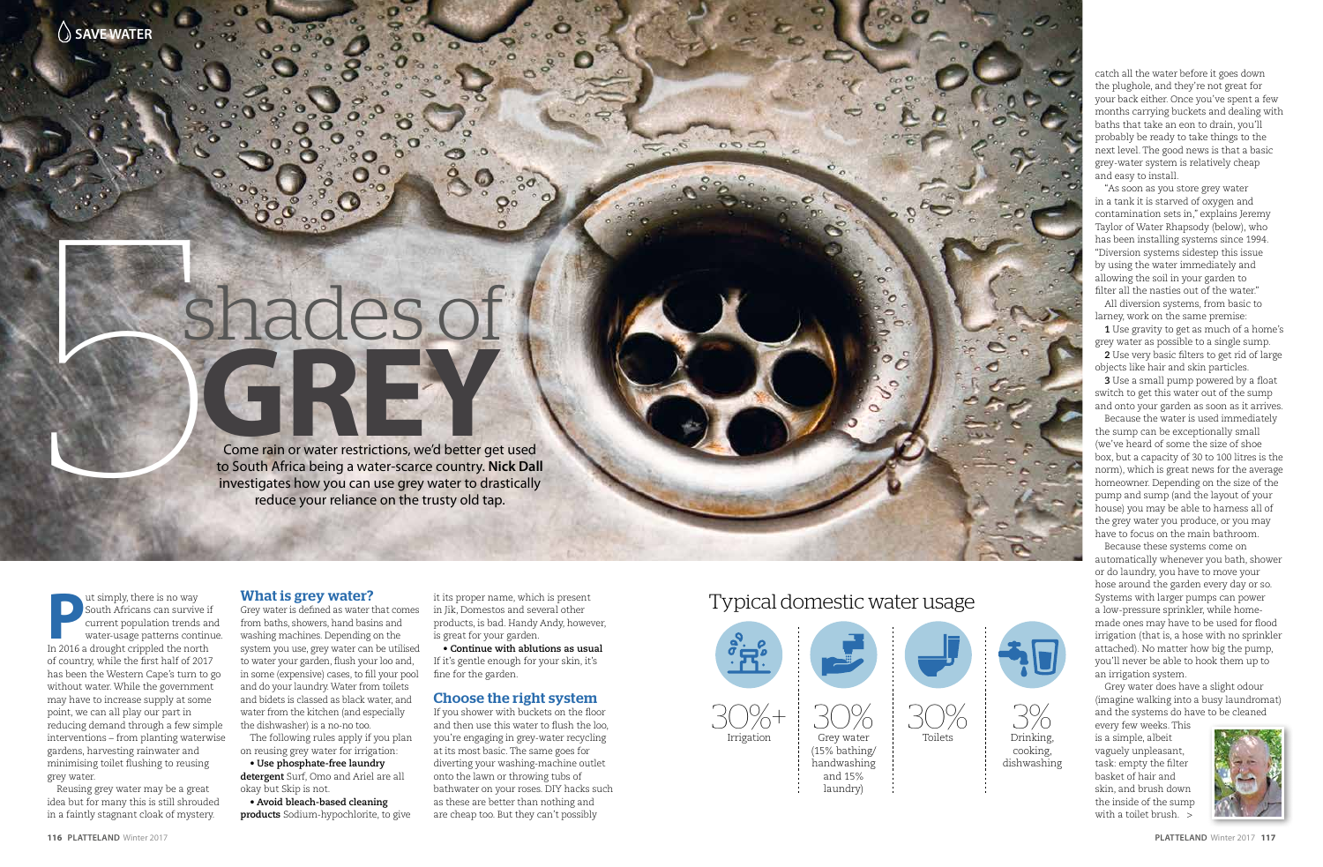# shades of **GREY** 5

Come rain or water restrictions, we'd better get used to South Africa being a water-scarce country. **Nick Dall** investigates how you can use grey water to drastically reduce your reliance on the trusty old tap.

**P** south Africans can survive if current population trends are water-usage patterns continu<br>In 2016 a drought crippled the north ut simply, there is no way South Africans can survive if current population trends and water-usage patterns continue. of country, while the first half of 2017 has been the Western Cape's turn to go without water. While the government may have to increase supply at some point, we can all play our part in reducing demand through a few simple interventions – from planting waterwise gardens, harvesting rainwater and minimising toilet flushing to reusing grey water.

Reusing grey water may be a great idea but for many this is still shrouded in a faintly stagnant cloak of mystery.

### What is grey water?

Grey water is defined as water that comes from baths, showers, hand basins and washing machines. Depending on the system you use, grey water can be utilised to water your garden, flush your loo and, in some (expensive) cases, to fill your pool and do your laundry. Water from toilets and bidets is classed as black water, and water from the kitchen (and especially the dishwasher) is a no-no too.

The following rules apply if you plan on reusing grey water for irrigation:

• **Use phosphate-free laundry** 

**detergent** Surf, Omo and Ariel are all okay but Skip is not.

• **Avoid bleach-based cleaning products** Sodium-hypochlorite, to give

it its proper name, which is present in Jik, Domestos and several other products, is bad. Handy Andy, however, is great for your garden.

• **Continue with ablutions as usual** If it's gentle enough for your skin, it's fine for the garden.

#### Choose the right system

If you shower with buckets on the floor and then use this water to flush the loo, you're engaging in grey-water recycling at its most basic. The same goes for diverting your washing-machine outlet onto the lawn or throwing tubs of bathwater on your roses. DIY hacks such as these are better than nothing and are cheap too. But they can't possibly

every few weeks. This is a simple, albeit vaguely unpleasant, task: empty the filter basket of hair and skin, and brush down the inside of the sump with a toilet brush. >



catch all the water before it goes down the plughole, and they're not great for your back either. Once you've spent a few months carrying buckets and dealing with baths that take an eon to drain, you'll probably be ready to take things to the next level. The good news is that a basic grey-water system is relatively cheap and easy to install.

"As soon as you store grey water in a tank it is starved of oxygen and contamination sets in," explains Jeremy Taylor of Water Rhapsody (below), who has been installing systems since 1994. "Diversion systems sidestep this issue by using the water immediately and allowing the soil in your garden to filter all the nasties out of the water."

All diversion systems, from basic to larney, work on the same premise:

**1** Use gravity to get as much of a home's grey water as possible to a single sump.

**2** Use very basic filters to get rid of large objects like hair and skin particles.

**3** Use a small pump powered by a float switch to get this water out of the sump and onto your garden as soon as it arrives.

Because the water is used immediately the sump can be exceptionally small (we've heard of some the size of shoe box, but a capacity of 30 to 100 litres is the norm), which is great news for the average homeowner. Depending on the size of the pump and sump (and the layout of your house) you may be able to harness all of the grey water you produce, or you may have to focus on the main bathroom.

Because these systems come on automatically whenever you bath, shower or do laundry, you have to move your hose around the garden every day or so. Systems with larger pumps can power a low-pressure sprinkler, while homemade ones may have to be used for flood irrigation (that is, a hose with no sprinkler attached). No matter how big the pump, you'll never be able to hook them up to an irrigation system.

Grey water does have a slight odour (imagine walking into a busy laundromat) and the systems do have to be cleaned

# Typical domestic water usage

 $000$ 





3% Drinking, cooking, dishwashing